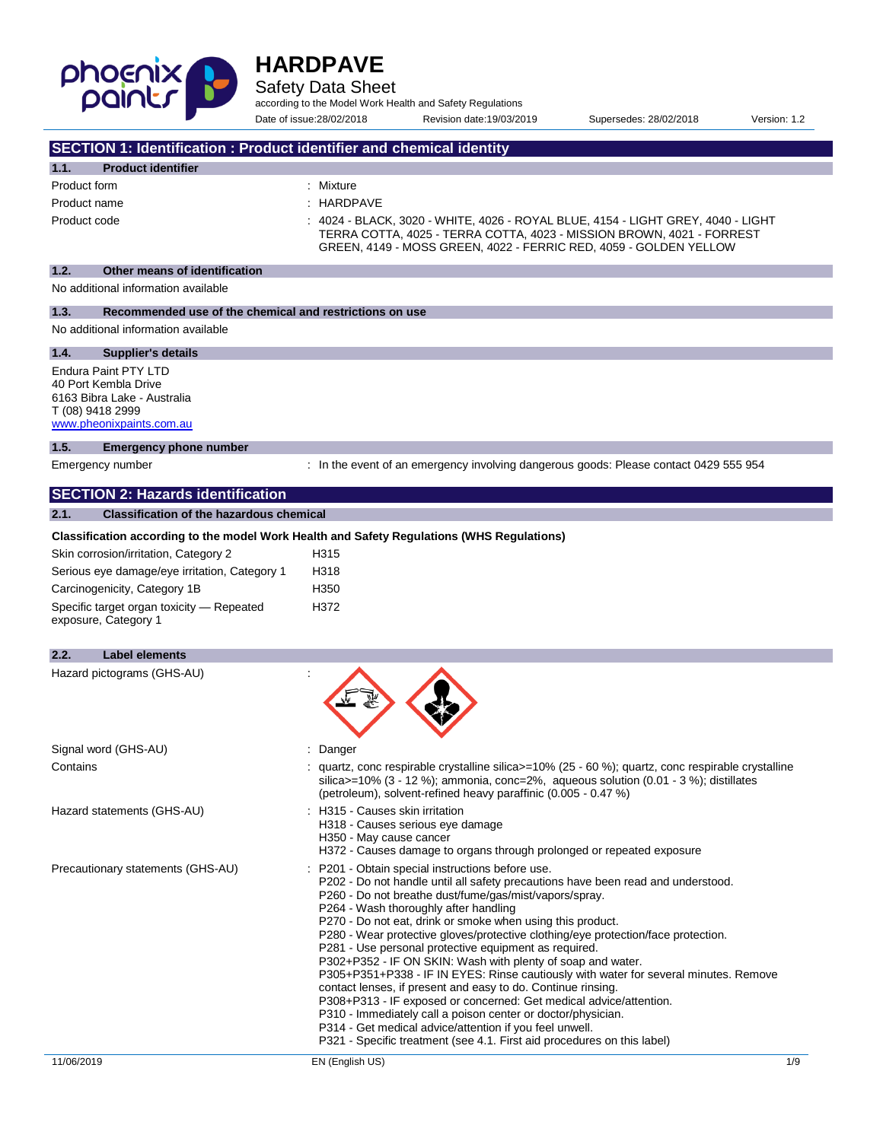

Safety Data Sheet

according to the Model Work Health and Safety Regulations

Date of issue:28/02/2018 Revision date:19/03/2019 Supersedes: 28/02/2018 Version: 1.2

| SECTION 1: Identification : Product identifier and chemical identity                                                               |                                                                                                                                                                                                                                                                                                                                                                                                                                                                                                                                                                                                                                                                                                                                                                                                                                                                                                                                                        |
|------------------------------------------------------------------------------------------------------------------------------------|--------------------------------------------------------------------------------------------------------------------------------------------------------------------------------------------------------------------------------------------------------------------------------------------------------------------------------------------------------------------------------------------------------------------------------------------------------------------------------------------------------------------------------------------------------------------------------------------------------------------------------------------------------------------------------------------------------------------------------------------------------------------------------------------------------------------------------------------------------------------------------------------------------------------------------------------------------|
| <b>Product identifier</b><br>1.1.                                                                                                  |                                                                                                                                                                                                                                                                                                                                                                                                                                                                                                                                                                                                                                                                                                                                                                                                                                                                                                                                                        |
| Product form                                                                                                                       | : Mixture                                                                                                                                                                                                                                                                                                                                                                                                                                                                                                                                                                                                                                                                                                                                                                                                                                                                                                                                              |
| Product name                                                                                                                       | : HARDPAVE                                                                                                                                                                                                                                                                                                                                                                                                                                                                                                                                                                                                                                                                                                                                                                                                                                                                                                                                             |
| Product code                                                                                                                       | 4024 - BLACK, 3020 - WHITE, 4026 - ROYAL BLUE, 4154 - LIGHT GREY, 4040 - LIGHT<br>TERRA COTTA, 4025 - TERRA COTTA, 4023 - MISSION BROWN, 4021 - FORREST<br>GREEN, 4149 - MOSS GREEN, 4022 - FERRIC RED, 4059 - GOLDEN YELLOW                                                                                                                                                                                                                                                                                                                                                                                                                                                                                                                                                                                                                                                                                                                           |
| 1.2.<br>Other means of identification                                                                                              |                                                                                                                                                                                                                                                                                                                                                                                                                                                                                                                                                                                                                                                                                                                                                                                                                                                                                                                                                        |
| No additional information available                                                                                                |                                                                                                                                                                                                                                                                                                                                                                                                                                                                                                                                                                                                                                                                                                                                                                                                                                                                                                                                                        |
| 1.3.<br>Recommended use of the chemical and restrictions on use                                                                    |                                                                                                                                                                                                                                                                                                                                                                                                                                                                                                                                                                                                                                                                                                                                                                                                                                                                                                                                                        |
| No additional information available                                                                                                |                                                                                                                                                                                                                                                                                                                                                                                                                                                                                                                                                                                                                                                                                                                                                                                                                                                                                                                                                        |
| 1.4.<br><b>Supplier's details</b>                                                                                                  |                                                                                                                                                                                                                                                                                                                                                                                                                                                                                                                                                                                                                                                                                                                                                                                                                                                                                                                                                        |
| <b>Endura Paint PTY LTD</b><br>40 Port Kembla Drive<br>6163 Bibra Lake - Australia<br>T (08) 9418 2999<br>www.pheonixpaints.com.au |                                                                                                                                                                                                                                                                                                                                                                                                                                                                                                                                                                                                                                                                                                                                                                                                                                                                                                                                                        |
| 1.5.<br><b>Emergency phone number</b>                                                                                              |                                                                                                                                                                                                                                                                                                                                                                                                                                                                                                                                                                                                                                                                                                                                                                                                                                                                                                                                                        |
| Emergency number                                                                                                                   | : In the event of an emergency involving dangerous goods: Please contact 0429 555 954                                                                                                                                                                                                                                                                                                                                                                                                                                                                                                                                                                                                                                                                                                                                                                                                                                                                  |
| <b>SECTION 2: Hazards identification</b>                                                                                           |                                                                                                                                                                                                                                                                                                                                                                                                                                                                                                                                                                                                                                                                                                                                                                                                                                                                                                                                                        |
| <b>Classification of the hazardous chemical</b><br>2.1.                                                                            |                                                                                                                                                                                                                                                                                                                                                                                                                                                                                                                                                                                                                                                                                                                                                                                                                                                                                                                                                        |
|                                                                                                                                    | Classification according to the model Work Health and Safety Regulations (WHS Regulations)                                                                                                                                                                                                                                                                                                                                                                                                                                                                                                                                                                                                                                                                                                                                                                                                                                                             |
|                                                                                                                                    |                                                                                                                                                                                                                                                                                                                                                                                                                                                                                                                                                                                                                                                                                                                                                                                                                                                                                                                                                        |
| Skin corrosion/irritation, Category 2                                                                                              | H315                                                                                                                                                                                                                                                                                                                                                                                                                                                                                                                                                                                                                                                                                                                                                                                                                                                                                                                                                   |
| Serious eye damage/eye irritation, Category 1                                                                                      | H318                                                                                                                                                                                                                                                                                                                                                                                                                                                                                                                                                                                                                                                                                                                                                                                                                                                                                                                                                   |
| Carcinogenicity, Category 1B                                                                                                       | H350                                                                                                                                                                                                                                                                                                                                                                                                                                                                                                                                                                                                                                                                                                                                                                                                                                                                                                                                                   |
| Specific target organ toxicity - Repeated<br>exposure, Category 1                                                                  | H372                                                                                                                                                                                                                                                                                                                                                                                                                                                                                                                                                                                                                                                                                                                                                                                                                                                                                                                                                   |
| 2.2.<br><b>Label elements</b>                                                                                                      |                                                                                                                                                                                                                                                                                                                                                                                                                                                                                                                                                                                                                                                                                                                                                                                                                                                                                                                                                        |
| Hazard pictograms (GHS-AU)                                                                                                         |                                                                                                                                                                                                                                                                                                                                                                                                                                                                                                                                                                                                                                                                                                                                                                                                                                                                                                                                                        |
| Signal word (GHS-AU)                                                                                                               | : Danger                                                                                                                                                                                                                                                                                                                                                                                                                                                                                                                                                                                                                                                                                                                                                                                                                                                                                                                                               |
| Contains                                                                                                                           | quartz, conc respirable crystalline silica>=10% (25 - 60 %); quartz, conc respirable crystalline<br>silica>=10% (3 - 12 %); ammonia, conc=2%, aqueous solution (0.01 - 3 %); distillates<br>(petroleum), solvent-refined heavy paraffinic (0.005 - 0.47 %)                                                                                                                                                                                                                                                                                                                                                                                                                                                                                                                                                                                                                                                                                             |
| Hazard statements (GHS-AU)                                                                                                         | : H315 - Causes skin irritation<br>H318 - Causes serious eye damage<br>H350 - May cause cancer<br>H372 - Causes damage to organs through prolonged or repeated exposure                                                                                                                                                                                                                                                                                                                                                                                                                                                                                                                                                                                                                                                                                                                                                                                |
| Precautionary statements (GHS-AU)                                                                                                  | : P201 - Obtain special instructions before use.<br>P202 - Do not handle until all safety precautions have been read and understood.<br>P260 - Do not breathe dust/fume/gas/mist/vapors/spray.<br>P264 - Wash thoroughly after handling<br>P270 - Do not eat, drink or smoke when using this product.<br>P280 - Wear protective gloves/protective clothing/eye protection/face protection.<br>P281 - Use personal protective equipment as required.<br>P302+P352 - IF ON SKIN: Wash with plenty of soap and water.<br>P305+P351+P338 - IF IN EYES: Rinse cautiously with water for several minutes. Remove<br>contact lenses, if present and easy to do. Continue rinsing.<br>P308+P313 - IF exposed or concerned: Get medical advice/attention.<br>P310 - Immediately call a poison center or doctor/physician.<br>P314 - Get medical advice/attention if you feel unwell.<br>P321 - Specific treatment (see 4.1. First aid procedures on this label) |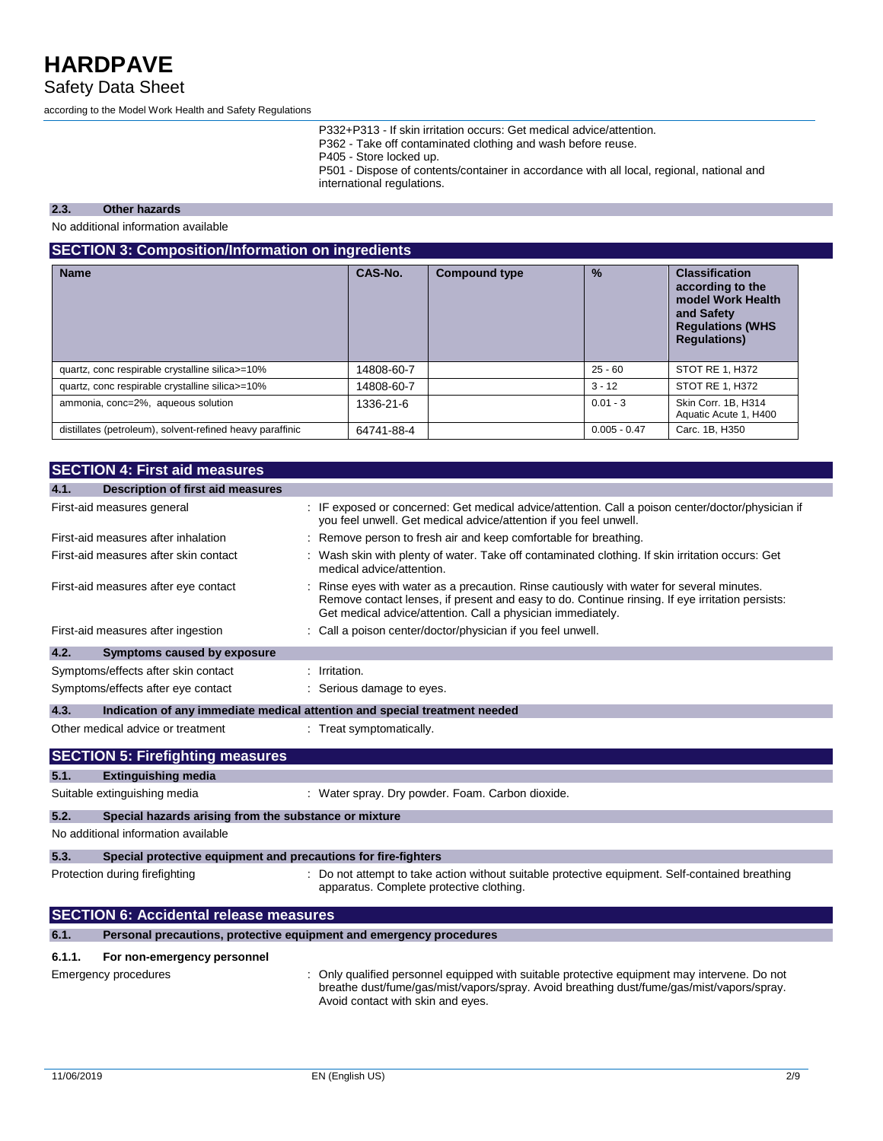Safety Data Sheet

according to the Model Work Health and Safety Regulations

P332+P313 - If skin irritation occurs: Get medical advice/attention. P362 - Take off contaminated clothing and wash before reuse. P405 - Store locked up. P501 - Dispose of contents/container in accordance with all local, regional, national and international regulations.

#### **2.3. Other hazards**

No additional information available

#### **SECTION 3: Composition/Information on ingredients**

| <b>Name</b>                                               | CAS-No.    | <b>Compound type</b> | $\frac{9}{6}$  | <b>Classification</b><br>according to the<br>model Work Health<br>and Safety<br><b>Regulations (WHS</b><br><b>Regulations)</b> |
|-----------------------------------------------------------|------------|----------------------|----------------|--------------------------------------------------------------------------------------------------------------------------------|
| quartz, conc respirable crystalline silica>=10%           | 14808-60-7 |                      | $25 - 60$      | STOT RE 1, H372                                                                                                                |
| quartz, conc respirable crystalline silica>=10%           | 14808-60-7 |                      | $3 - 12$       | STOT RE 1, H372                                                                                                                |
| ammonia, conc=2%, aqueous solution                        | 1336-21-6  |                      | $0.01 - 3$     | Skin Corr. 1B, H314<br>Aquatic Acute 1, H400                                                                                   |
| distillates (petroleum), solvent-refined heavy paraffinic | 64741-88-4 |                      | $0.005 - 0.47$ | Carc. 1B, H350                                                                                                                 |

|        | <b>SECTION 4: First aid measures</b>                                       |                                                                                                                                                                                                                                                           |
|--------|----------------------------------------------------------------------------|-----------------------------------------------------------------------------------------------------------------------------------------------------------------------------------------------------------------------------------------------------------|
| 4.1.   | <b>Description of first aid measures</b>                                   |                                                                                                                                                                                                                                                           |
|        | First-aid measures general                                                 | : IF exposed or concerned: Get medical advice/attention. Call a poison center/doctor/physician if<br>you feel unwell. Get medical advice/attention if you feel unwell.                                                                                    |
|        | First-aid measures after inhalation                                        | : Remove person to fresh air and keep comfortable for breathing.                                                                                                                                                                                          |
|        | First-aid measures after skin contact                                      | Wash skin with plenty of water. Take off contaminated clothing. If skin irritation occurs: Get<br>medical advice/attention.                                                                                                                               |
|        | First-aid measures after eye contact                                       | Rinse eyes with water as a precaution. Rinse cautiously with water for several minutes.<br>Remove contact lenses, if present and easy to do. Continue rinsing. If eye irritation persists:<br>Get medical advice/attention. Call a physician immediately. |
|        | First-aid measures after ingestion                                         | : Call a poison center/doctor/physician if you feel unwell.                                                                                                                                                                                               |
| 4.2.   | Symptoms caused by exposure                                                |                                                                                                                                                                                                                                                           |
|        | Symptoms/effects after skin contact                                        | : Irritation.                                                                                                                                                                                                                                             |
|        | Symptoms/effects after eye contact                                         | : Serious damage to eyes.                                                                                                                                                                                                                                 |
| 4.3.   | Indication of any immediate medical attention and special treatment needed |                                                                                                                                                                                                                                                           |
|        | Other medical advice or treatment                                          | : Treat symptomatically.                                                                                                                                                                                                                                  |
|        | <b>SECTION 5: Firefighting measures</b>                                    |                                                                                                                                                                                                                                                           |
| 5.1.   | <b>Extinguishing media</b>                                                 |                                                                                                                                                                                                                                                           |
|        | Suitable extinguishing media                                               | : Water spray. Dry powder. Foam. Carbon dioxide.                                                                                                                                                                                                          |
| 5.2.   | Special hazards arising from the substance or mixture                      |                                                                                                                                                                                                                                                           |
|        | No additional information available                                        |                                                                                                                                                                                                                                                           |
| 5.3.   | Special protective equipment and precautions for fire-fighters             |                                                                                                                                                                                                                                                           |
|        | Protection during firefighting                                             | Do not attempt to take action without suitable protective equipment. Self-contained breathing<br>apparatus. Complete protective clothing.                                                                                                                 |
|        | <b>SECTION 6: Accidental release measures</b>                              |                                                                                                                                                                                                                                                           |
| 6.1.   | Personal precautions, protective equipment and emergency procedures        |                                                                                                                                                                                                                                                           |
| 6.1.1. | For non-emergency personnel                                                |                                                                                                                                                                                                                                                           |
|        | Emergency procedures                                                       | Only qualified personnel equipped with suitable protective equipment may intervene. Do not<br>breathe dust/fume/gas/mist/vapors/spray. Avoid breathing dust/fume/gas/mist/vapors/spray.<br>Avoid contact with skin and eyes.                              |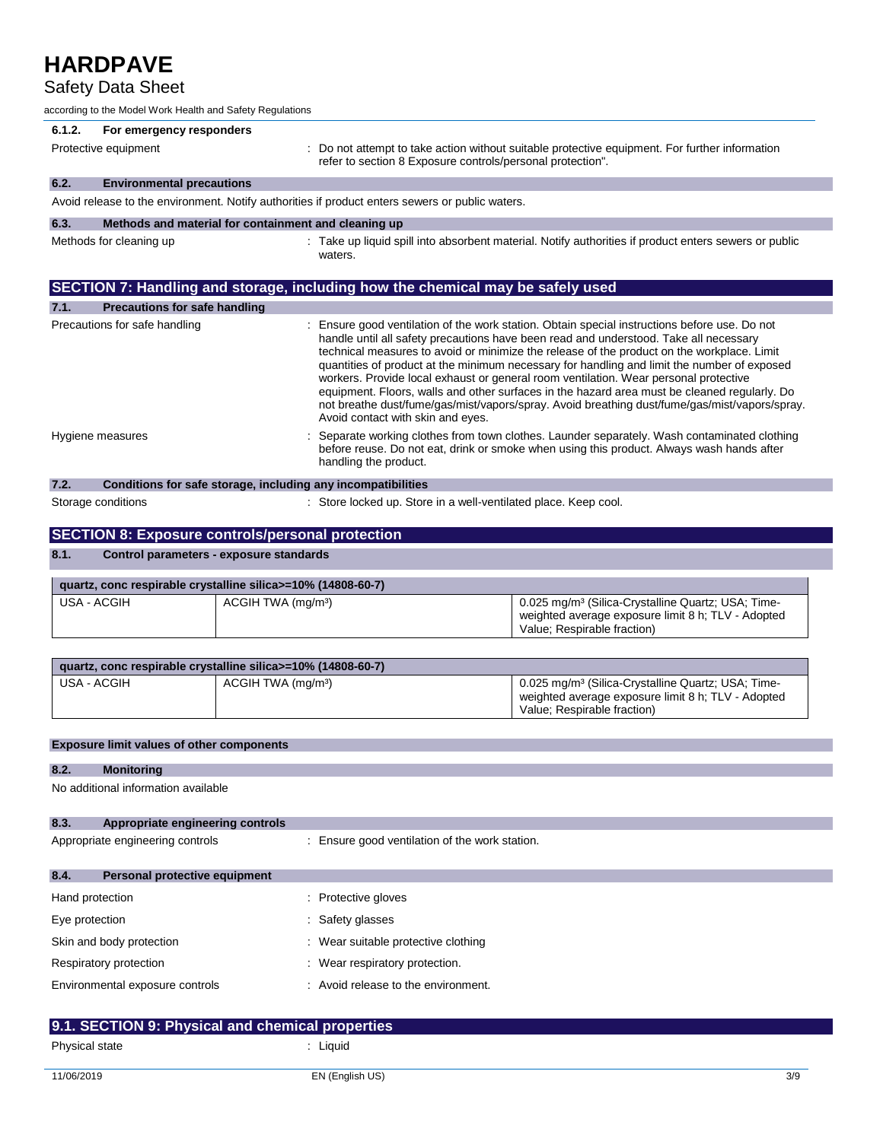### Safety Data Sheet

|                 | according to the Model Work Health and Safety Regulations    |                                |                                                                                                 |                                                                                                                                                                                                                                                                                                                                                                                                                                                                                                                                                                                                                                                                              |
|-----------------|--------------------------------------------------------------|--------------------------------|-------------------------------------------------------------------------------------------------|------------------------------------------------------------------------------------------------------------------------------------------------------------------------------------------------------------------------------------------------------------------------------------------------------------------------------------------------------------------------------------------------------------------------------------------------------------------------------------------------------------------------------------------------------------------------------------------------------------------------------------------------------------------------------|
| 6.1.2.          | For emergency responders                                     |                                |                                                                                                 |                                                                                                                                                                                                                                                                                                                                                                                                                                                                                                                                                                                                                                                                              |
|                 | Protective equipment                                         |                                | refer to section 8 Exposure controls/personal protection".                                      | : Do not attempt to take action without suitable protective equipment. For further information                                                                                                                                                                                                                                                                                                                                                                                                                                                                                                                                                                               |
| 6.2.            | <b>Environmental precautions</b>                             |                                |                                                                                                 |                                                                                                                                                                                                                                                                                                                                                                                                                                                                                                                                                                                                                                                                              |
|                 |                                                              |                                | Avoid release to the environment. Notify authorities if product enters sewers or public waters. |                                                                                                                                                                                                                                                                                                                                                                                                                                                                                                                                                                                                                                                                              |
| 6.3.            | Methods and material for containment and cleaning up         |                                |                                                                                                 |                                                                                                                                                                                                                                                                                                                                                                                                                                                                                                                                                                                                                                                                              |
|                 | Methods for cleaning up                                      |                                | waters.                                                                                         | : Take up liquid spill into absorbent material. Notify authorities if product enters sewers or public                                                                                                                                                                                                                                                                                                                                                                                                                                                                                                                                                                        |
|                 |                                                              |                                | SECTION 7: Handling and storage, including how the chemical may be safely used                  |                                                                                                                                                                                                                                                                                                                                                                                                                                                                                                                                                                                                                                                                              |
| 7.1.            | <b>Precautions for safe handling</b>                         |                                |                                                                                                 |                                                                                                                                                                                                                                                                                                                                                                                                                                                                                                                                                                                                                                                                              |
|                 | Precautions for safe handling                                |                                | Avoid contact with skin and eyes.                                                               | : Ensure good ventilation of the work station. Obtain special instructions before use. Do not<br>handle until all safety precautions have been read and understood. Take all necessary<br>technical measures to avoid or minimize the release of the product on the workplace. Limit<br>quantities of product at the minimum necessary for handling and limit the number of exposed<br>workers. Provide local exhaust or general room ventilation. Wear personal protective<br>equipment. Floors, walls and other surfaces in the hazard area must be cleaned regularly. Do<br>not breathe dust/fume/gas/mist/vapors/spray. Avoid breathing dust/fume/gas/mist/vapors/spray. |
|                 | Hygiene measures                                             |                                | handling the product.                                                                           | Separate working clothes from town clothes. Launder separately. Wash contaminated clothing<br>before reuse. Do not eat, drink or smoke when using this product. Always wash hands after                                                                                                                                                                                                                                                                                                                                                                                                                                                                                      |
| 7.2.            |                                                              |                                | Conditions for safe storage, including any incompatibilities                                    |                                                                                                                                                                                                                                                                                                                                                                                                                                                                                                                                                                                                                                                                              |
|                 | Storage conditions                                           |                                | : Store locked up. Store in a well-ventilated place. Keep cool.                                 |                                                                                                                                                                                                                                                                                                                                                                                                                                                                                                                                                                                                                                                                              |
|                 | <b>SECTION 8: Exposure controls/personal protection</b>      |                                |                                                                                                 |                                                                                                                                                                                                                                                                                                                                                                                                                                                                                                                                                                                                                                                                              |
| 8.1.            | Control parameters - exposure standards                      |                                |                                                                                                 |                                                                                                                                                                                                                                                                                                                                                                                                                                                                                                                                                                                                                                                                              |
|                 | quartz, conc respirable crystalline silica>=10% (14808-60-7) |                                |                                                                                                 |                                                                                                                                                                                                                                                                                                                                                                                                                                                                                                                                                                                                                                                                              |
|                 | <b>USA - ACGIH</b>                                           | ACGIH TWA (mg/m <sup>3</sup> ) |                                                                                                 | 0.025 mg/m <sup>3</sup> (Silica-Crystalline Quartz; USA; Time-<br>weighted average exposure limit 8 h; TLV - Adopted<br>Value; Respirable fraction)                                                                                                                                                                                                                                                                                                                                                                                                                                                                                                                          |
|                 | quartz, conc respirable crystalline silica>=10% (14808-60-7) |                                |                                                                                                 |                                                                                                                                                                                                                                                                                                                                                                                                                                                                                                                                                                                                                                                                              |
|                 | USA - ACGIH                                                  | ACGIH TWA (mg/m <sup>3</sup> ) |                                                                                                 | 0.025 mg/m <sup>3</sup> (Silica-Crystalline Quartz; USA; Time-<br>weighted average exposure limit 8 h; TLV - Adopted<br>Value; Respirable fraction)                                                                                                                                                                                                                                                                                                                                                                                                                                                                                                                          |
|                 |                                                              |                                |                                                                                                 |                                                                                                                                                                                                                                                                                                                                                                                                                                                                                                                                                                                                                                                                              |
|                 | <b>Exposure limit values of other components</b>             |                                |                                                                                                 |                                                                                                                                                                                                                                                                                                                                                                                                                                                                                                                                                                                                                                                                              |
| 8.2.            | <b>Monitoring</b>                                            |                                |                                                                                                 |                                                                                                                                                                                                                                                                                                                                                                                                                                                                                                                                                                                                                                                                              |
|                 | No additional information available                          |                                |                                                                                                 |                                                                                                                                                                                                                                                                                                                                                                                                                                                                                                                                                                                                                                                                              |
| 8.3.            | Appropriate engineering controls                             |                                |                                                                                                 |                                                                                                                                                                                                                                                                                                                                                                                                                                                                                                                                                                                                                                                                              |
|                 | Appropriate engineering controls                             |                                | : Ensure good ventilation of the work station.                                                  |                                                                                                                                                                                                                                                                                                                                                                                                                                                                                                                                                                                                                                                                              |
| 8.4.            | Personal protective equipment                                |                                |                                                                                                 |                                                                                                                                                                                                                                                                                                                                                                                                                                                                                                                                                                                                                                                                              |
| Hand protection |                                                              |                                | : Protective gloves                                                                             |                                                                                                                                                                                                                                                                                                                                                                                                                                                                                                                                                                                                                                                                              |
| Eye protection  |                                                              |                                | : Safety glasses                                                                                |                                                                                                                                                                                                                                                                                                                                                                                                                                                                                                                                                                                                                                                                              |
|                 | Skin and body protection                                     |                                | : Wear suitable protective clothing                                                             |                                                                                                                                                                                                                                                                                                                                                                                                                                                                                                                                                                                                                                                                              |
|                 |                                                              |                                |                                                                                                 |                                                                                                                                                                                                                                                                                                                                                                                                                                                                                                                                                                                                                                                                              |
|                 | Respiratory protection                                       |                                | : Wear respiratory protection.                                                                  |                                                                                                                                                                                                                                                                                                                                                                                                                                                                                                                                                                                                                                                                              |
|                 | Environmental exposure controls                              |                                | : Avoid release to the environment.                                                             |                                                                                                                                                                                                                                                                                                                                                                                                                                                                                                                                                                                                                                                                              |
|                 |                                                              |                                |                                                                                                 |                                                                                                                                                                                                                                                                                                                                                                                                                                                                                                                                                                                                                                                                              |

| 9.1. SECTION 9: Physical and chemical properties |                 |     |
|--------------------------------------------------|-----------------|-----|
| <b>Physical state</b>                            | Liauid          |     |
| 11/06/2019                                       | EN (English US) | 3/9 |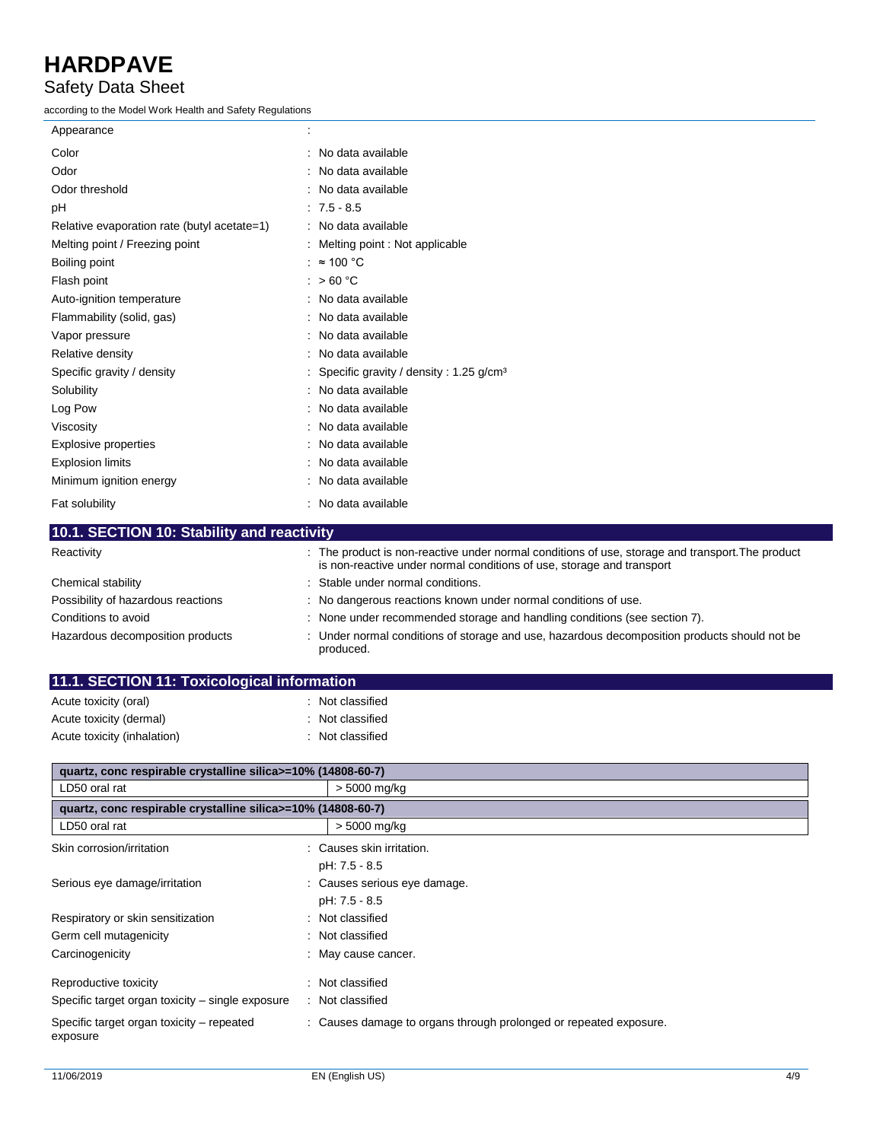### Safety Data Sheet

according to the Model Work Health and Safety Regulations

| Appearance                                                                                                      |                                                                                                                                                                           |
|-----------------------------------------------------------------------------------------------------------------|---------------------------------------------------------------------------------------------------------------------------------------------------------------------------|
| Color                                                                                                           | : No data available                                                                                                                                                       |
| Odor                                                                                                            | : No data available                                                                                                                                                       |
| Odor threshold                                                                                                  | : No data available                                                                                                                                                       |
| pH                                                                                                              | $: 7.5 - 8.5$                                                                                                                                                             |
| Relative evaporation rate (butyl acetate=1)                                                                     | : No data available                                                                                                                                                       |
| Melting point / Freezing point                                                                                  | : Melting point : Not applicable                                                                                                                                          |
| Boiling point                                                                                                   | : $\approx 100$ °C                                                                                                                                                        |
| Flash point                                                                                                     | : $>60 °C$                                                                                                                                                                |
| Auto-ignition temperature                                                                                       | : No data available                                                                                                                                                       |
| Flammability (solid, gas)                                                                                       | : No data available                                                                                                                                                       |
| Vapor pressure                                                                                                  | : No data available                                                                                                                                                       |
| Relative density                                                                                                | : No data available                                                                                                                                                       |
| Specific gravity / density                                                                                      | : Specific gravity / density : 1.25 g/cm <sup>3</sup>                                                                                                                     |
| Solubility                                                                                                      | : No data available                                                                                                                                                       |
| Log Pow                                                                                                         | : No data available                                                                                                                                                       |
| Viscosity                                                                                                       | : No data available                                                                                                                                                       |
| <b>Explosive properties</b>                                                                                     | : No data available                                                                                                                                                       |
| <b>Explosion limits</b>                                                                                         | : No data available                                                                                                                                                       |
| Minimum ignition energy                                                                                         | : No data available                                                                                                                                                       |
| Fat solubility                                                                                                  | : No data available                                                                                                                                                       |
| 10.1. SECTION 10: Stability and reactivity                                                                      |                                                                                                                                                                           |
| Reactivity                                                                                                      | : The product is non-reactive under normal conditions of use, storage and transport. The product<br>is non-reactive under normal conditions of use, storage and transport |
| the contract of the contract of the contract of the contract of the contract of the contract of the contract of | the contract of the contract of the contract of the contract of the contract of the contract of the contract of                                                           |

| Chemical stability                 | : Stable under normal conditions.                                                                       |
|------------------------------------|---------------------------------------------------------------------------------------------------------|
| Possibility of hazardous reactions | : No dangerous reactions known under normal conditions of use.                                          |
| Conditions to avoid                | : None under recommended storage and handling conditions (see section 7).                               |
| Hazardous decomposition products   | Under normal conditions of storage and use, hazardous decomposition products should not be<br>produced. |

| 11.1. SECTION 11: Toxicological information |                  |
|---------------------------------------------|------------------|
| Acute toxicity (oral)                       | : Not classified |
| Acute toxicity (dermal)                     | : Not classified |
| Acute toxicity (inhalation)                 | : Not classified |

| quartz, conc respirable crystalline silica>=10% (14808-60-7)              |                                                                   |  |
|---------------------------------------------------------------------------|-------------------------------------------------------------------|--|
| LD50 oral rat                                                             | > 5000 mg/kg                                                      |  |
| quartz, conc respirable crystalline silica >=10% (14808-60-7)             |                                                                   |  |
| LD50 oral rat                                                             | > 5000 mg/kg                                                      |  |
| Skin corrosion/irritation                                                 | : Causes skin irritation.<br>pH: 7.5 - 8.5                        |  |
| Serious eye damage/irritation                                             | : Causes serious eye damage.<br>pH: 7.5 - 8.5                     |  |
| Respiratory or skin sensitization                                         | : Not classified                                                  |  |
| Germ cell mutagenicity                                                    | Not classified                                                    |  |
| Carcinogenicity                                                           | : May cause cancer.                                               |  |
| Reproductive toxicity<br>Specific target organ toxicity – single exposure | : Not classified<br>Not classified                                |  |
| Specific target organ toxicity – repeated<br>exposure                     | : Causes damage to organs through prolonged or repeated exposure. |  |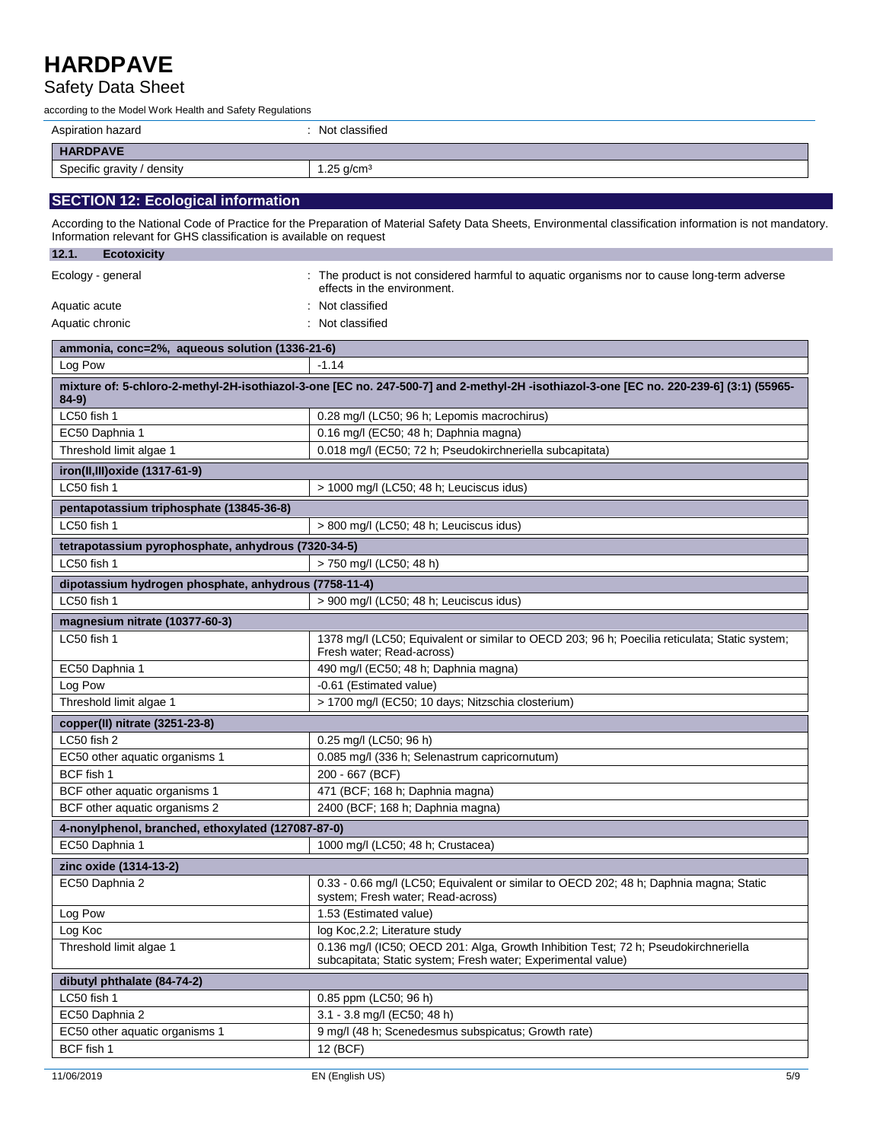### Safety Data Sheet

according to the Model Work Health and Safety Regulations

| Aspiration hazard                                                   | : Not classified                                                                                                                                          |
|---------------------------------------------------------------------|-----------------------------------------------------------------------------------------------------------------------------------------------------------|
| <b>HARDPAVE</b>                                                     |                                                                                                                                                           |
| Specific gravity / density                                          | 1.25 $q/cm3$                                                                                                                                              |
| <b>SECTION 12: Ecological information</b>                           |                                                                                                                                                           |
| Information relevant for GHS classification is available on request | According to the National Code of Practice for the Preparation of Material Safety Data Sheets, Environmental classification information is not mandatory. |
| 12.1.<br><b>Ecotoxicity</b>                                         |                                                                                                                                                           |
| Ecology - general                                                   | : The product is not considered harmful to aquatic organisms nor to cause long-term adverse<br>effects in the environment.                                |
| Aquatic acute                                                       | : Not classified                                                                                                                                          |
| Aquatic chronic                                                     | : Not classified                                                                                                                                          |
| ammonia, conc=2%, aqueous solution (1336-21-6)                      |                                                                                                                                                           |
| Log Pow                                                             | $-1.14$                                                                                                                                                   |
| $84-9)$                                                             | mixture of: 5-chloro-2-methyl-2H-isothiazol-3-one [EC no. 247-500-7] and 2-methyl-2H -isothiazol-3-one [EC no. 220-239-6] (3:1) (55965-                   |
| LC50 fish 1                                                         | 0.28 mg/l (LC50; 96 h; Lepomis macrochirus)                                                                                                               |
| EC50 Daphnia 1                                                      | 0.16 mg/l (EC50; 48 h; Daphnia magna)                                                                                                                     |
| Throchold limit algand                                              | 0.018 mg/l (EC50: 72 b. Peaudokirchnerialla subcapitata)                                                                                                  |

| Threshold limit algae 1                               | 0.018 mg/l (EC50; 72 h; Pseudokirchneriella subcapitata)                                                                                            |  |
|-------------------------------------------------------|-----------------------------------------------------------------------------------------------------------------------------------------------------|--|
| iron(II,III) oxide (1317-61-9)                        |                                                                                                                                                     |  |
| LC50 fish 1                                           | > 1000 mg/l (LC50; 48 h; Leuciscus idus)                                                                                                            |  |
| pentapotassium triphosphate (13845-36-8)              |                                                                                                                                                     |  |
| LC50 fish 1                                           | > 800 mg/l (LC50; 48 h; Leuciscus idus)                                                                                                             |  |
| tetrapotassium pyrophosphate, anhydrous (7320-34-5)   |                                                                                                                                                     |  |
| LC50 fish 1                                           | > 750 mg/l (LC50; 48 h)                                                                                                                             |  |
| dipotassium hydrogen phosphate, anhydrous (7758-11-4) |                                                                                                                                                     |  |
| LC50 fish 1                                           | > 900 mg/l (LC50; 48 h; Leuciscus idus)                                                                                                             |  |
| magnesium nitrate (10377-60-3)                        |                                                                                                                                                     |  |
| LC50 fish 1                                           | 1378 mg/l (LC50; Equivalent or similar to OECD 203; 96 h; Poecilia reticulata; Static system;<br>Fresh water: Read-across)                          |  |
| EC50 Daphnia 1                                        | 490 mg/l (EC50; 48 h; Daphnia magna)                                                                                                                |  |
| Log Pow                                               | -0.61 (Estimated value)                                                                                                                             |  |
| Threshold limit algae 1                               | > 1700 mg/l (EC50; 10 days; Nitzschia closterium)                                                                                                   |  |
|                                                       |                                                                                                                                                     |  |
| copper(II) nitrate (3251-23-8)                        |                                                                                                                                                     |  |
| LC50 fish 2                                           | 0.25 mg/l (LC50; 96 h)                                                                                                                              |  |
| EC50 other aquatic organisms 1                        | 0.085 mg/l (336 h; Selenastrum capricornutum)                                                                                                       |  |
| BCF fish 1                                            | 200 - 667 (BCF)                                                                                                                                     |  |
| BCF other aquatic organisms 1                         | 471 (BCF; 168 h; Daphnia magna)                                                                                                                     |  |
| BCF other aquatic organisms 2                         | 2400 (BCF; 168 h; Daphnia magna)                                                                                                                    |  |
| 4-nonylphenol, branched, ethoxylated (127087-87-0)    |                                                                                                                                                     |  |
| EC50 Daphnia 1                                        | 1000 mg/l (LC50; 48 h; Crustacea)                                                                                                                   |  |
| zinc oxide (1314-13-2)                                |                                                                                                                                                     |  |
| EC50 Daphnia 2                                        | 0.33 - 0.66 mg/l (LC50; Equivalent or similar to OECD 202; 48 h; Daphnia magna; Static<br>system; Fresh water; Read-across)                         |  |
| Log Pow                                               | 1.53 (Estimated value)                                                                                                                              |  |
| Log Koc                                               | log Koc, 2.2; Literature study                                                                                                                      |  |
| Threshold limit algae 1                               | 0.136 mg/l (IC50; OECD 201: Alga, Growth Inhibition Test; 72 h; Pseudokirchneriella<br>subcapitata; Static system; Fresh water; Experimental value) |  |

| dibutyl phthalate (84-74-2)    |                                                     |
|--------------------------------|-----------------------------------------------------|
| LC50 fish 1                    | $0.85$ ppm (LC50; 96 h)                             |
| EC50 Daphnia 2                 | 3.1 - 3.8 mg/l (EC50; 48 h)                         |
| EC50 other aquatic organisms 1 | 9 mg/l (48 h; Scenedesmus subspicatus; Growth rate) |
| BCF fish 1                     | 12 (BCF)                                            |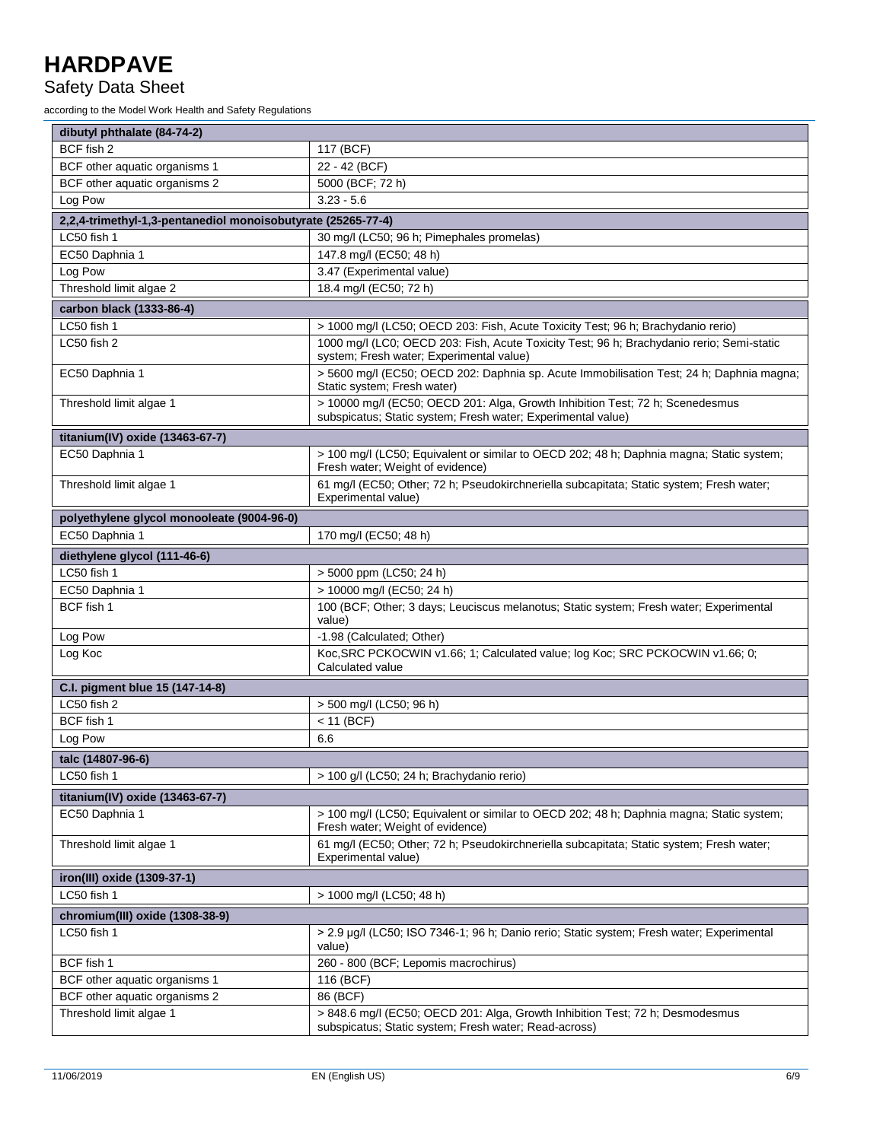### Safety Data Sheet

according to the Model Work Health and Safety Regulations

| dibutyl phthalate (84-74-2)                                  |                                                                                                                                               |  |
|--------------------------------------------------------------|-----------------------------------------------------------------------------------------------------------------------------------------------|--|
| BCF fish 2                                                   | 117 (BCF)                                                                                                                                     |  |
| BCF other aquatic organisms 1                                | 22 - 42 (BCF)                                                                                                                                 |  |
| BCF other aquatic organisms 2                                | 5000 (BCF; 72 h)                                                                                                                              |  |
| Log Pow                                                      | $3.23 - 5.6$                                                                                                                                  |  |
| 2,2,4-trimethyl-1,3-pentanediol monoisobutyrate (25265-77-4) |                                                                                                                                               |  |
| LC50 fish 1                                                  | 30 mg/l (LC50; 96 h; Pimephales promelas)                                                                                                     |  |
| EC50 Daphnia 1                                               | 147.8 mg/l (EC50; 48 h)                                                                                                                       |  |
| Log Pow                                                      | 3.47 (Experimental value)                                                                                                                     |  |
| Threshold limit algae 2                                      | 18.4 mg/l (EC50; 72 h)                                                                                                                        |  |
| carbon black (1333-86-4)                                     |                                                                                                                                               |  |
| LC50 fish 1                                                  | > 1000 mg/l (LC50; OECD 203: Fish, Acute Toxicity Test; 96 h; Brachydanio rerio)                                                              |  |
| LC50 fish 2                                                  | 1000 mg/l (LC0; OECD 203: Fish, Acute Toxicity Test; 96 h; Brachydanio rerio; Semi-static<br>system; Fresh water; Experimental value)         |  |
| EC50 Daphnia 1                                               | > 5600 mg/l (EC50; OECD 202: Daphnia sp. Acute Immobilisation Test; 24 h; Daphnia magna;<br>Static system; Fresh water)                       |  |
| Threshold limit algae 1                                      | > 10000 mg/l (EC50; OECD 201: Alga, Growth Inhibition Test; 72 h; Scenedesmus<br>subspicatus; Static system; Fresh water; Experimental value) |  |
| titanium(IV) oxide (13463-67-7)                              |                                                                                                                                               |  |
| EC50 Daphnia 1                                               | > 100 mg/l (LC50; Equivalent or similar to OECD 202; 48 h; Daphnia magna; Static system;<br>Fresh water; Weight of evidence)                  |  |
| Threshold limit algae 1                                      | 61 mg/l (EC50; Other; 72 h; Pseudokirchneriella subcapitata; Static system; Fresh water;<br>Experimental value)                               |  |
| polyethylene glycol monooleate (9004-96-0)                   |                                                                                                                                               |  |
| EC50 Daphnia 1                                               | 170 mg/l (EC50; 48 h)                                                                                                                         |  |
| diethylene glycol (111-46-6)                                 |                                                                                                                                               |  |
| LC50 fish 1                                                  | > 5000 ppm (LC50; 24 h)                                                                                                                       |  |
| EC50 Daphnia 1                                               | > 10000 mg/l (EC50; 24 h)                                                                                                                     |  |
| BCF fish 1                                                   | 100 (BCF; Other; 3 days; Leuciscus melanotus; Static system; Fresh water; Experimental<br>value)                                              |  |
| Log Pow                                                      | -1.98 (Calculated; Other)                                                                                                                     |  |
| Log Koc                                                      | Koc, SRC PCKOCWIN v1.66; 1; Calculated value; log Koc; SRC PCKOCWIN v1.66; 0;<br>Calculated value                                             |  |
| C.I. pigment blue 15 (147-14-8)                              |                                                                                                                                               |  |
| LC50 fish 2                                                  | > 500 mg/l (LC50; 96 h)                                                                                                                       |  |
| BCF fish 1                                                   | $<$ 11 (BCF)                                                                                                                                  |  |
| Log Pow                                                      | 6.6                                                                                                                                           |  |
| talc (14807-96-6)                                            |                                                                                                                                               |  |
| LC50 fish 1                                                  | > 100 g/l (LC50; 24 h; Brachydanio rerio)                                                                                                     |  |
| titanium(IV) oxide (13463-67-7)                              |                                                                                                                                               |  |
| EC50 Daphnia 1                                               | > 100 mg/l (LC50; Equivalent or similar to OECD 202; 48 h; Daphnia magna; Static system;<br>Fresh water; Weight of evidence)                  |  |
| Threshold limit algae 1                                      | 61 mg/l (EC50; Other; 72 h; Pseudokirchneriella subcapitata; Static system; Fresh water;<br>Experimental value)                               |  |
| iron(III) oxide (1309-37-1)                                  |                                                                                                                                               |  |
| LC50 fish 1                                                  | > 1000 mg/l (LC50; 48 h)                                                                                                                      |  |
| chromium(III) oxide (1308-38-9)                              |                                                                                                                                               |  |
| LC50 fish 1                                                  | > 2.9 µg/l (LC50; ISO 7346-1; 96 h; Danio rerio; Static system; Fresh water; Experimental<br>value)                                           |  |
| BCF fish 1                                                   | 260 - 800 (BCF; Lepomis macrochirus)                                                                                                          |  |
| BCF other aquatic organisms 1                                | 116 (BCF)                                                                                                                                     |  |
| BCF other aquatic organisms 2                                | 86 (BCF)                                                                                                                                      |  |
| Threshold limit algae 1                                      | > 848.6 mg/l (EC50; OECD 201: Alga, Growth Inhibition Test; 72 h; Desmodesmus<br>subspicatus; Static system; Fresh water; Read-across)        |  |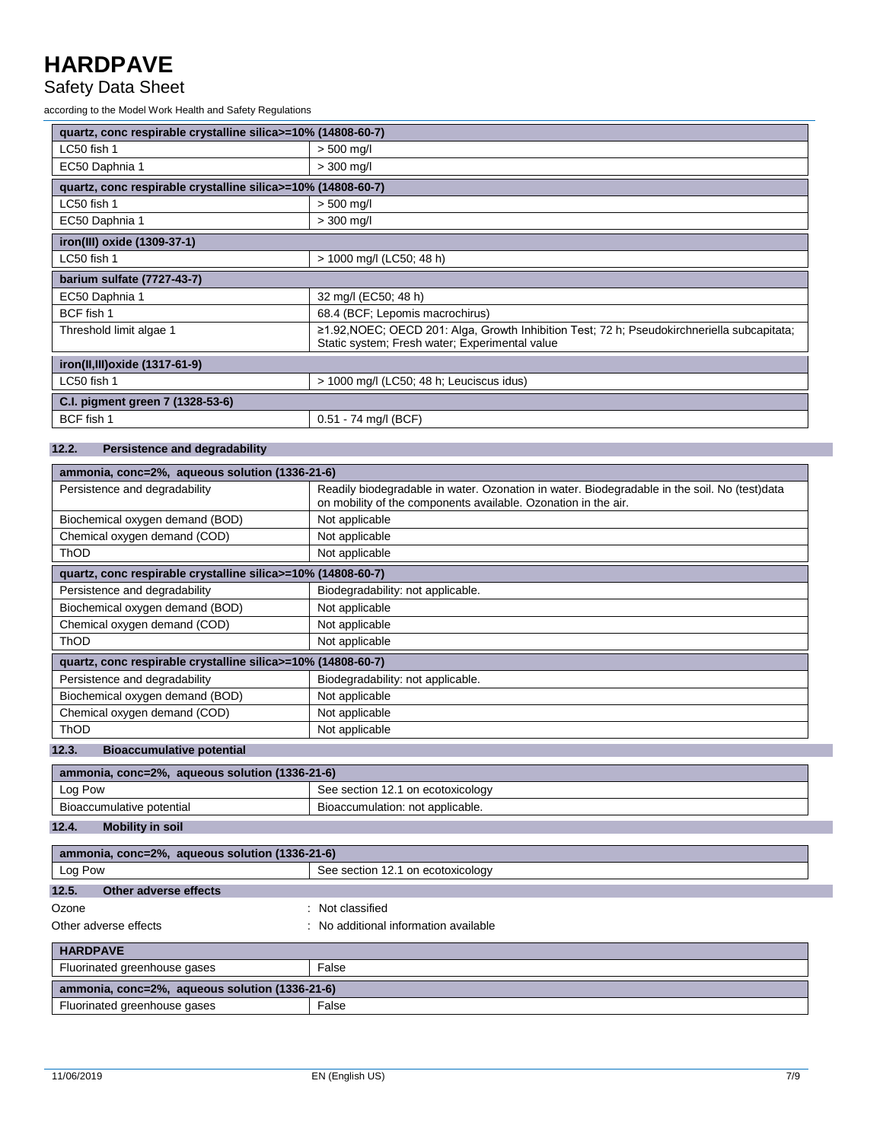#### Safety Data Sheet

according to the Model Work Health and Safety Regulations

| quartz, conc respirable crystalline silica>=10% (14808-60-7) |                                                                                                                                               |
|--------------------------------------------------------------|-----------------------------------------------------------------------------------------------------------------------------------------------|
| LC50 fish 1                                                  | $> 500$ mg/l                                                                                                                                  |
| EC50 Daphnia 1                                               | $> 300$ mg/l                                                                                                                                  |
| quartz, conc respirable crystalline silica>=10% (14808-60-7) |                                                                                                                                               |
| LC50 fish 1                                                  | $> 500$ mg/l                                                                                                                                  |
| EC50 Daphnia 1                                               | $>$ 300 mg/l                                                                                                                                  |
| iron(III) oxide (1309-37-1)                                  |                                                                                                                                               |
| LC50 fish 1                                                  | > 1000 mg/l (LC50; 48 h)                                                                                                                      |
| barium sulfate (7727-43-7)                                   |                                                                                                                                               |
| EC50 Daphnia 1                                               | 32 mg/l (EC50; 48 h)                                                                                                                          |
| BCF fish 1                                                   | 68.4 (BCF; Lepomis macrochirus)                                                                                                               |
| Threshold limit algae 1                                      | ≥1.92, NOEC; OECD 201: Alga, Growth Inhibition Test; 72 h; Pseudokirchneriella subcapitata;<br>Static system; Fresh water; Experimental value |
| iron(II,III) oxide (1317-61-9)                               |                                                                                                                                               |
| LC50 fish 1                                                  | > 1000 mg/l (LC50; 48 h; Leuciscus idus)                                                                                                      |
| C.I. pigment green 7 (1328-53-6)                             |                                                                                                                                               |
| BCF fish 1                                                   | 0.51 - 74 mg/l (BCF)                                                                                                                          |

#### **12.2. Persistence and degradability**

| ammonia, conc=2%, aqueous solution (1336-21-6)               |                                                                                                                                                                |
|--------------------------------------------------------------|----------------------------------------------------------------------------------------------------------------------------------------------------------------|
| Persistence and degradability                                | Readily biodegradable in water. Ozonation in water. Biodegradable in the soil. No (test)data<br>on mobility of the components available. Ozonation in the air. |
| Biochemical oxygen demand (BOD)                              | Not applicable                                                                                                                                                 |
| Chemical oxygen demand (COD)                                 | Not applicable                                                                                                                                                 |
| ThOD                                                         | Not applicable                                                                                                                                                 |
| quartz, conc respirable crystalline silica>=10% (14808-60-7) |                                                                                                                                                                |
| Persistence and degradability                                | Biodegradability: not applicable.                                                                                                                              |
| Biochemical oxygen demand (BOD)                              | Not applicable                                                                                                                                                 |
| Chemical oxygen demand (COD)                                 | Not applicable                                                                                                                                                 |
| <b>ThOD</b>                                                  | Not applicable                                                                                                                                                 |
| quartz, conc respirable crystalline silica>=10% (14808-60-7) |                                                                                                                                                                |
| Persistence and degradability                                | Biodegradability: not applicable.                                                                                                                              |
| Biochemical oxygen demand (BOD)                              | Not applicable                                                                                                                                                 |
| Chemical oxygen demand (COD)                                 | Not applicable                                                                                                                                                 |
| <b>ThOD</b>                                                  | Not applicable                                                                                                                                                 |
| 12.3.<br><b>Bioaccumulative potential</b>                    |                                                                                                                                                                |

| ammonia, conc=2%, aqueous solution (1336-21-6) |                                   |
|------------------------------------------------|-----------------------------------|
| Log Pow                                        | See section 12.1 on ecotoxicology |
| Bioaccumulative potential                      | Bioaccumulation: not applicable.  |

**12.4. Mobility in soil**

| ammonia, conc=2%, aqueous solution (1336-21-6) |                                       |  |
|------------------------------------------------|---------------------------------------|--|
| Log Pow                                        | See section 12.1 on ecotoxicology     |  |
| 12.5.<br>Other adverse effects                 |                                       |  |
| Ozone                                          | : Not classified                      |  |
| Other adverse effects                          | : No additional information available |  |
| <b>HARDPAVE</b>                                |                                       |  |
| Fluorinated greenhouse gases                   | False                                 |  |
| ammonia, conc=2%, aqueous solution (1336-21-6) |                                       |  |
| Fluorinated greenhouse gases                   | False                                 |  |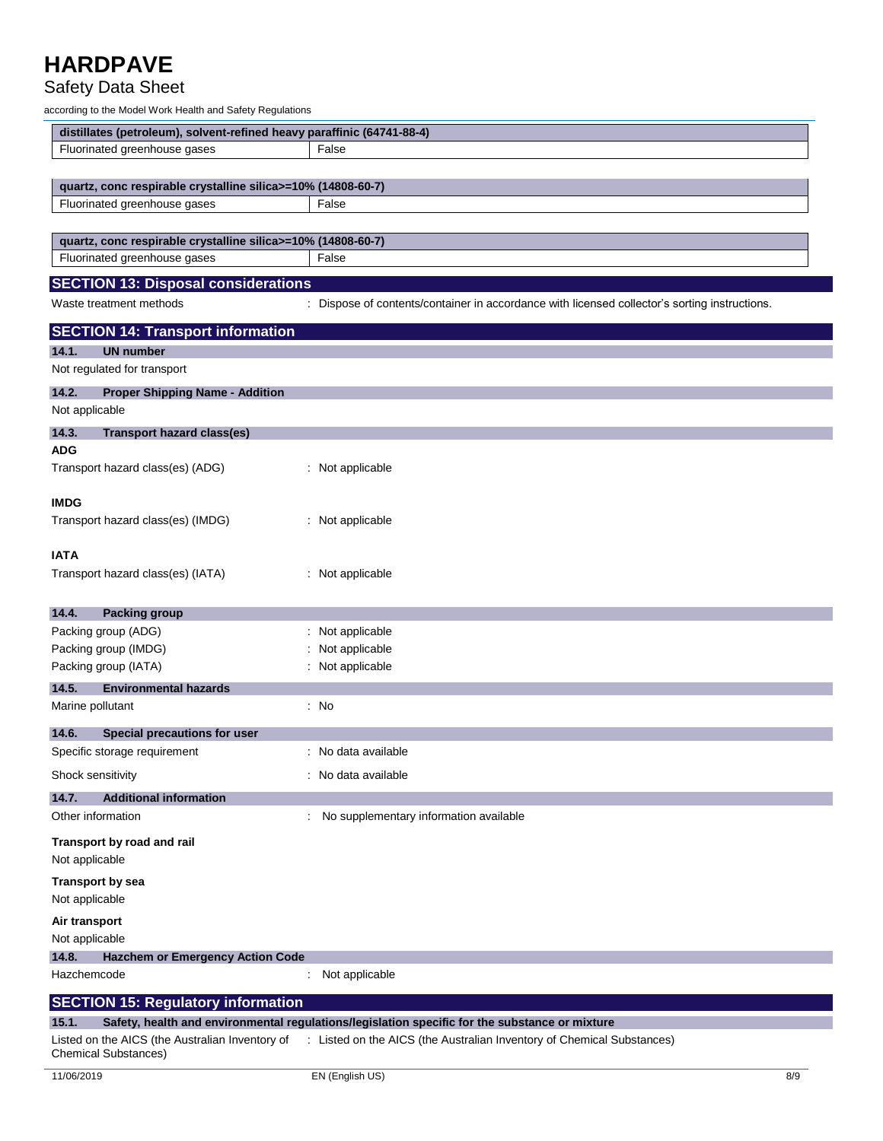### Safety Data Sheet

according to the Model Work Health and Safety Regulations

| distillates (petroleum), solvent-refined heavy paraffinic (64741-88-4) |                                                                                                                        |  |
|------------------------------------------------------------------------|------------------------------------------------------------------------------------------------------------------------|--|
| Fluorinated greenhouse gases                                           | False                                                                                                                  |  |
|                                                                        |                                                                                                                        |  |
| quartz, conc respirable crystalline silica>=10% (14808-60-7)           |                                                                                                                        |  |
| Fluorinated greenhouse gases                                           | False                                                                                                                  |  |
|                                                                        |                                                                                                                        |  |
| quartz, conc respirable crystalline silica>=10% (14808-60-7)           |                                                                                                                        |  |
| Fluorinated greenhouse gases                                           | False                                                                                                                  |  |
| <b>SECTION 13: Disposal considerations</b>                             |                                                                                                                        |  |
| Waste treatment methods                                                | : Dispose of contents/container in accordance with licensed collector's sorting instructions.                          |  |
|                                                                        |                                                                                                                        |  |
| <b>SECTION 14: Transport information</b>                               |                                                                                                                        |  |
| 14.1.<br><b>UN number</b>                                              |                                                                                                                        |  |
| Not regulated for transport                                            |                                                                                                                        |  |
| 14.2.<br><b>Proper Shipping Name - Addition</b>                        |                                                                                                                        |  |
| Not applicable                                                         |                                                                                                                        |  |
| 14.3.<br><b>Transport hazard class(es)</b>                             |                                                                                                                        |  |
| <b>ADG</b>                                                             |                                                                                                                        |  |
| Transport hazard class(es) (ADG)                                       | : Not applicable                                                                                                       |  |
|                                                                        |                                                                                                                        |  |
| <b>IMDG</b>                                                            |                                                                                                                        |  |
| Transport hazard class(es) (IMDG)                                      | : Not applicable                                                                                                       |  |
| <b>IATA</b>                                                            |                                                                                                                        |  |
| Transport hazard class(es) (IATA)                                      | : Not applicable                                                                                                       |  |
|                                                                        |                                                                                                                        |  |
| 14.4.<br><b>Packing group</b>                                          |                                                                                                                        |  |
| Packing group (ADG)                                                    | : Not applicable                                                                                                       |  |
| Packing group (IMDG)                                                   | : Not applicable                                                                                                       |  |
| Packing group (IATA)                                                   | : Not applicable                                                                                                       |  |
| 14.5.<br><b>Environmental hazards</b>                                  |                                                                                                                        |  |
| Marine pollutant                                                       | : No                                                                                                                   |  |
|                                                                        |                                                                                                                        |  |
| Special precautions for user<br>14.6.                                  |                                                                                                                        |  |
| Specific storage requirement                                           | : No data available                                                                                                    |  |
| Shock sensitivity                                                      | : No data available                                                                                                    |  |
| 14.7.<br><b>Additional information</b>                                 |                                                                                                                        |  |
| Other information                                                      | : No supplementary information available                                                                               |  |
| Transport by road and rail                                             |                                                                                                                        |  |
| Not applicable                                                         |                                                                                                                        |  |
| <b>Transport by sea</b>                                                |                                                                                                                        |  |
| Not applicable                                                         |                                                                                                                        |  |
|                                                                        |                                                                                                                        |  |
| Air transport<br>Not applicable                                        |                                                                                                                        |  |
| 14.8.<br><b>Hazchem or Emergency Action Code</b>                       |                                                                                                                        |  |
| Hazchemcode                                                            | : Not applicable                                                                                                       |  |
|                                                                        |                                                                                                                        |  |
| <b>SECTION 15: Regulatory information</b>                              |                                                                                                                        |  |
| 15.1.                                                                  | Safety, health and environmental regulations/legislation specific for the substance or mixture                         |  |
|                                                                        | Listed on the AICS (the Australian Inventory of : Listed on the AICS (the Australian Inventory of Chemical Substances) |  |

Chemical Substances)